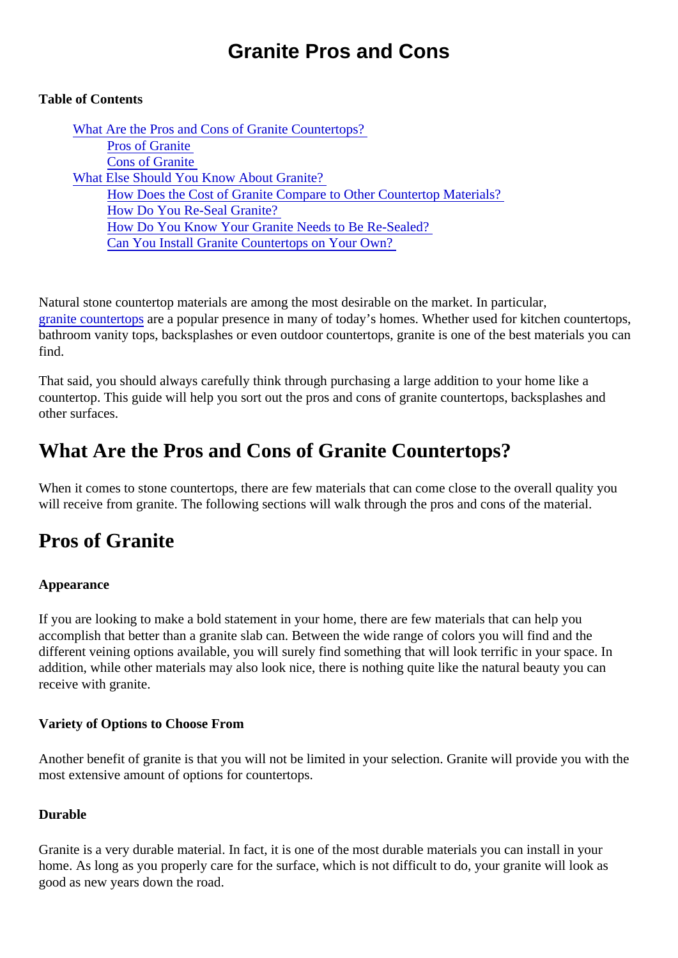# Granite Pros and Cons

## Table of Contents

What Are the Pros and Cons of Granite Countertops? Pros of Granite [Cons of Granite](#page-1-0) [What Else Should You Know About Granit](#page-2-0)e? [How Does the Cost of Granite Compare to Other Countertop Mate](#page-2-0)rials? [How Do You Re-Seal Granite](#page-3-0)? [How Do You Know Your Granite Needs to Be Re-Seal](#page-4-0)ed? [Can You Install Granite Countertops on Your Ow](#page-4-0)n?

Natural stone countertop materials are among the most desirable on the market. In particular, [granite countertop](https://marble.com/granite-countertops)are a popular presence in many of today's homes. Whether used for kitchen countertops bathroom vanity tops, backsplashes or even outdoor countertops, granite is one of the best materials you find.

That said, you should always carefully think through purchasing a large addition to your home like a countertop. This guide will help you sort out the pros and cons of granite countertops, backsplashes and other surfaces.

# What Are the Pros and Cons of Granite Countertops?

When it comes to stone countertops, there are few materials that can come close to the overall quality you will receive from granite. The following sections will walk through the pros and cons of the material.

# Pros of Granite

### Appearance

If you are looking to make a bold statement in your home, there are few materials that can help you accomplish that better than a granite slab can. Between the wide range of colors you will find and the different veining options available, you will surely find something that will look terrific in your space. In addition, while other materials may also look nice, there is nothing quite like the natural beauty you can receive with granite.

Variety of Options to Choose From

Another benefit of granite is that you will not be limited in your selection. Granite will provide you with the most extensive amount of options for countertops.

### Durable

Granite is a very durable material. In fact, it is one of the most durable materials you can install in your home. As long as you properly care for the surface, which is not difficult to do, your granite will look as good as new years down the road.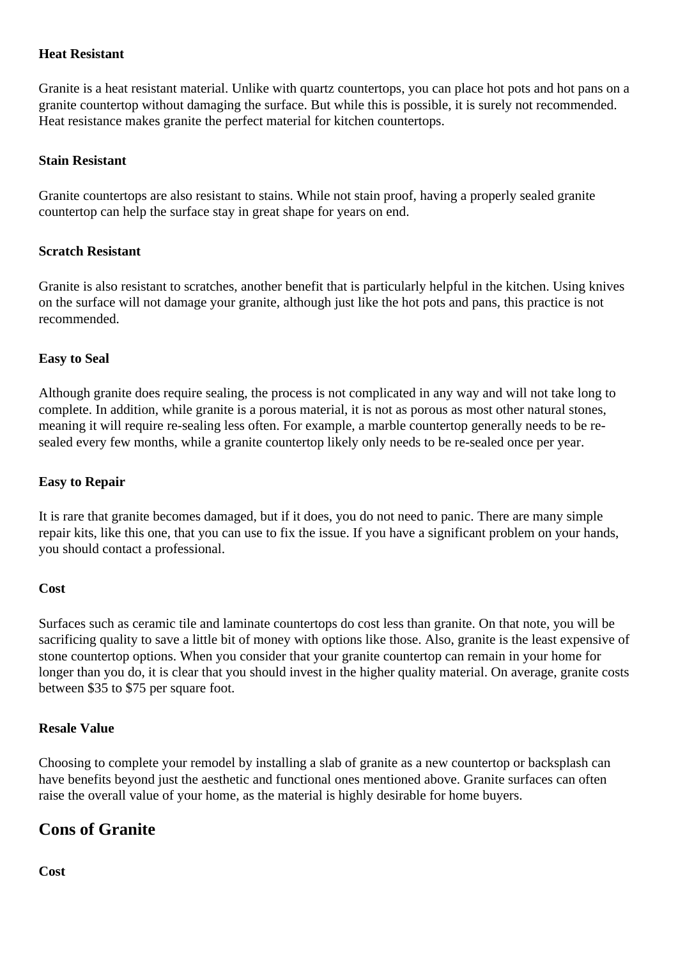#### <span id="page-1-0"></span>**Heat Resistant**

Granite is a heat resistant material. Unlike with quartz countertops, you can place hot pots and hot pans on a granite countertop without damaging the surface. But while this is possible, it is surely not recommended. Heat resistance makes granite the perfect material for kitchen countertops.

#### **Stain Resistant**

Granite countertops are also resistant to stains. While not stain proof, having a properly sealed granite countertop can help the surface stay in great shape for years on end.

#### **Scratch Resistant**

Granite is also resistant to scratches, another benefit that is particularly helpful in the kitchen. Using knives on the surface will not damage your granite, although just like the hot pots and pans, this practice is not recommended.

#### **Easy to Seal**

Although granite does require sealing, the process is not complicated in any way and will not take long to complete. In addition, while granite is a porous material, it is not as porous as most other natural stones, meaning it will require re-sealing less often. For example, a marble countertop generally needs to be resealed every few months, while a granite countertop likely only needs to be re-sealed once per year.

#### **Easy to Repair**

It is rare that granite becomes damaged, but if it does, you do not need to panic. There are many simple repair kits, like this one, that you can use to fix the issue. If you have a significant problem on your hands, you should contact a professional.

#### **Cost**

Surfaces such as ceramic tile and laminate countertops do cost less than granite. On that note, you will be sacrificing quality to save a little bit of money with options like those. Also, granite is the least expensive of stone countertop options. When you consider that your granite countertop can remain in your home for longer than you do, it is clear that you should invest in the higher quality material. On average, granite costs between \$35 to \$75 per square foot.

#### **Resale Value**

Choosing to complete your remodel by installing a slab of granite as a new countertop or backsplash can have benefits beyond just the aesthetic and functional ones mentioned above. Granite surfaces can often raise the overall value of your home, as the material is highly desirable for home buyers.

## **Cons of Granite**

**Cost**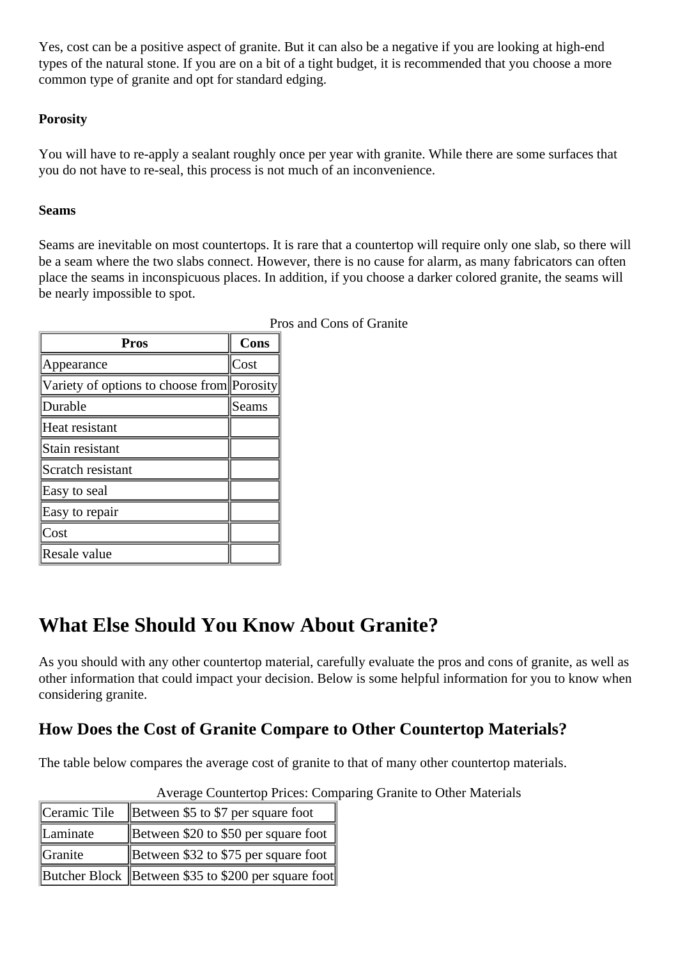<span id="page-2-0"></span>Yes, cost can be a positive aspect of granite. But it can also be a negative if you are looking at high-end types of the natural stone. If you are on a bit of a tight budget, it is recommended that you choose a more common type of granite and opt for standard edging.

### **Porosity**

You will have to re-apply a sealant roughly once per year with granite. While there are some surfaces that you do not have to re-seal, this process is not much of an inconvenience.

#### **Seams**

Seams are inevitable on most countertops. It is rare that a countertop will require only one slab, so there will be a seam where the two slabs connect. However, there is no cause for alarm, as many fabricators can often place the seams in inconspicuous places. In addition, if you choose a darker colored granite, the seams will be nearly impossible to spot.

| Pros and Cons of Granite                   |       |  |  |  |
|--------------------------------------------|-------|--|--|--|
| <b>Pros</b>                                | Cons  |  |  |  |
| Appearance                                 | Cost  |  |  |  |
| Variety of options to choose from Porosity |       |  |  |  |
| Durable                                    | Seams |  |  |  |
| Heat resistant                             |       |  |  |  |
| Stain resistant                            |       |  |  |  |
| Scratch resistant                          |       |  |  |  |
| Easy to seal                               |       |  |  |  |
| Easy to repair                             |       |  |  |  |
| Cost                                       |       |  |  |  |
| Resale value                               |       |  |  |  |

**What Else Should You Know About Granite?**

As you should with any other countertop material, carefully evaluate the pros and cons of granite, as well as other information that could impact your decision. Below is some helpful information for you to know when considering granite.

## **How Does the Cost of Granite Compare to Other Countertop Materials?**

The table below compares the average cost of granite to that of many other countertop materials.

| Ceramic Tile | Between \$5 to \$7 per square foot                  |
|--------------|-----------------------------------------------------|
| Laminate     | Between \$20 to \$50 per square foot                |
| Granite      | Between \$32 to \$75 per square foot                |
|              | Butcher Block Between \$35 to \$200 per square foot |

Average Countertop Prices: Comparing Granite to Other Materials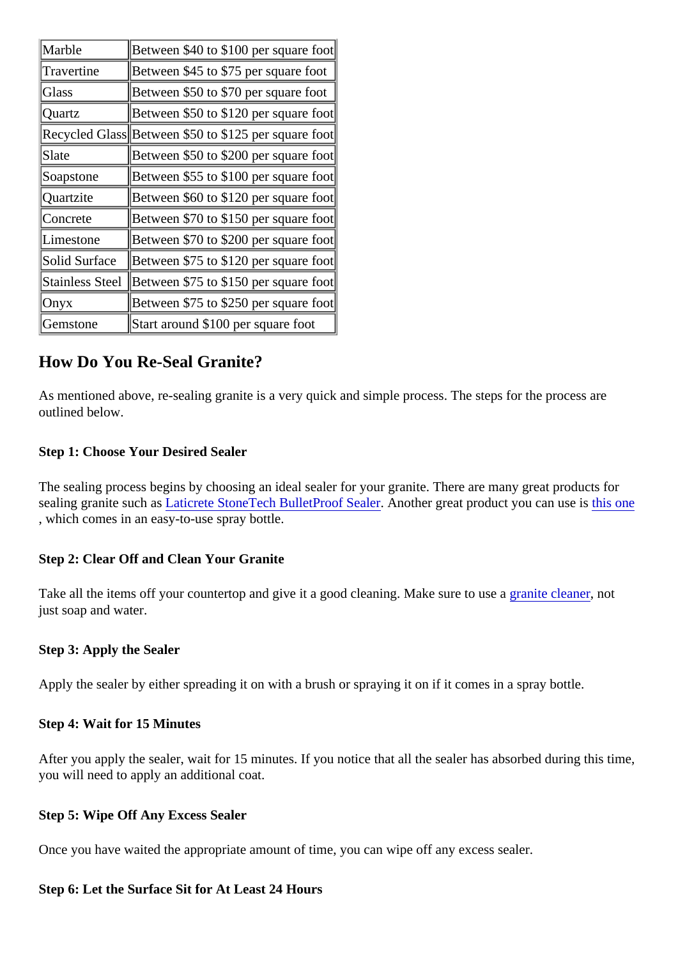<span id="page-3-0"></span>

| Marble            | Between \$40 to \$100 per square foot                |  |
|-------------------|------------------------------------------------------|--|
| <b>Travertine</b> | Between \$45 to \$75 per square foot                 |  |
| Glass             | Between \$50 to \$70 per square foot                 |  |
| Quartz            | Between \$50 to \$120 per square foot                |  |
|                   | Recycled Glas Between \$50 to \$125 per square foot  |  |
| Slate             | Between \$50 to \$200 per square foot                |  |
| Soapstone         | Between \$55 to \$100 per square foot                |  |
| Quartzite         | Between \$60 to \$120 per square foot                |  |
| Concrete          | Between \$70 to \$150 per square foot                |  |
| Limestone         | Between \$70 to \$200 per square foot                |  |
| Solid Surface     | Between \$75 to \$120 per square foot                |  |
|                   | Stainless Stee Between \$75 to \$150 per square foot |  |
| Onyx              | Between \$75 to \$250 per square foot                |  |
| Gemstone          | Start around \$100 per square foot                   |  |

## How Do You Re-Seal Granite?

As mentioned above, re-sealing granite is a very quick and simple process. The steps for the process are outlined below.

Step 1: Choose Your Desired Sealer

The sealing process begins by choosing an ideal sealer for your granite. There are many great products for sealing granite such asticrete StoneTech BulletProof Sealanother great product you can use is one , which comes in an easy-to-use spray bottle.

Step 2: Clear Off and Clean Your Granite

Take all the items off your countertop and give it a good cleaning. Make sure to use deanemot just soap and water.

Step 3: Apply the Sealer

Apply the sealer by either spreading it on with a brush or spraying it on if it comes in a spray bottle.

Step 4: Wait for 15 Minutes

After you apply the sealer, wait for 15 minutes. If you notice that all the sealer has absorbed during this tim you will need to apply an additional coat.

Step 5: Wipe Off Any Excess Sealer

Once you have waited the appropriate amount of time, you can wipe off any excess sealer.

Step 6: Let the Surface Sit for At Least 24 Hours